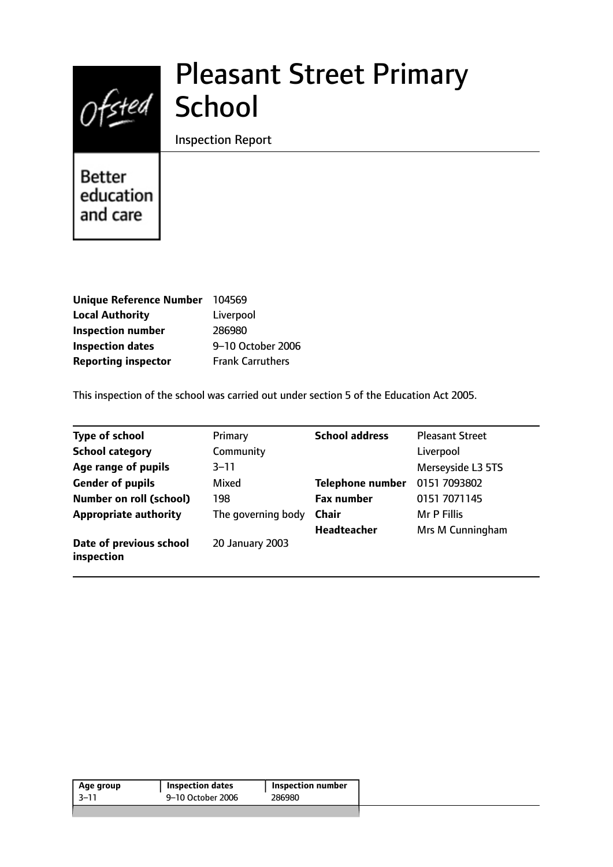# Ofsted School

## Pleasant Street Primary

Inspection Report

Better education and care

| Unique Reference Number 104569 |                         |
|--------------------------------|-------------------------|
| <b>Local Authority</b>         | Liverpool               |
| <b>Inspection number</b>       | 286980                  |
| <b>Inspection dates</b>        | 9-10 October 2006       |
| <b>Reporting inspector</b>     | <b>Frank Carruthers</b> |

This inspection of the school was carried out under section 5 of the Education Act 2005.

| <b>Type of school</b>                 | Primary            | <b>School address</b>   | <b>Pleasant Street</b> |
|---------------------------------------|--------------------|-------------------------|------------------------|
| <b>School category</b>                | Community          |                         | Liverpool              |
| Age range of pupils                   | $3 - 11$           |                         | Merseyside L3 5TS      |
| <b>Gender of pupils</b>               | Mixed              | <b>Telephone number</b> | 0151 7093802           |
| <b>Number on roll (school)</b>        | 198                | <b>Fax number</b>       | 0151 7071145           |
| <b>Appropriate authority</b>          | The governing body | <b>Chair</b>            | Mr P Fillis            |
|                                       |                    | <b>Headteacher</b>      | Mrs M Cunningham       |
| Date of previous school<br>inspection | 20 January 2003    |                         |                        |

| Age group | <b>Inspection dates</b> | <b>Inspection number</b> |
|-----------|-------------------------|--------------------------|
| 3–11      | 9–10 October 2006       | 286980                   |
|           |                         |                          |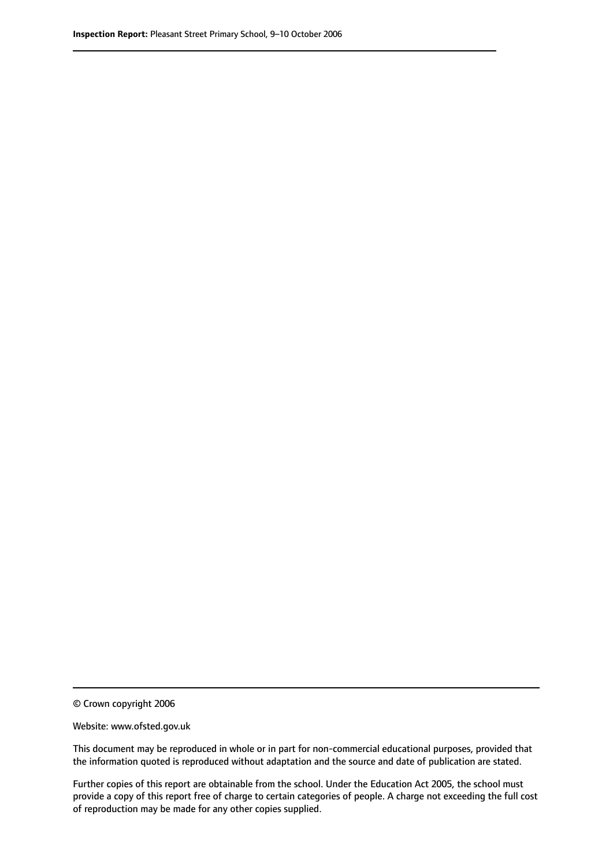© Crown copyright 2006

Website: www.ofsted.gov.uk

This document may be reproduced in whole or in part for non-commercial educational purposes, provided that the information quoted is reproduced without adaptation and the source and date of publication are stated.

Further copies of this report are obtainable from the school. Under the Education Act 2005, the school must provide a copy of this report free of charge to certain categories of people. A charge not exceeding the full cost of reproduction may be made for any other copies supplied.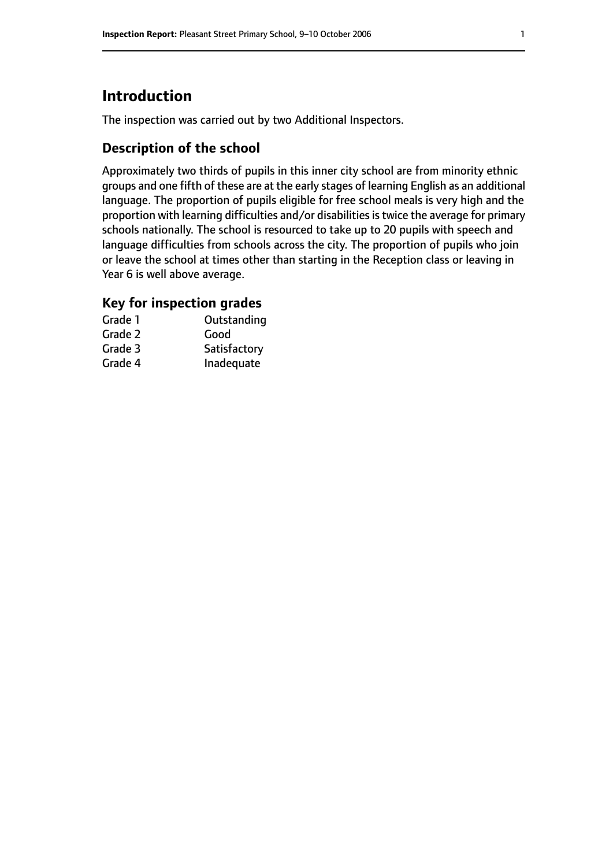## **Introduction**

The inspection was carried out by two Additional Inspectors.

#### **Description of the school**

Approximately two thirds of pupils in this inner city school are from minority ethnic groups and one fifth of these are at the early stages of learning English as an additional language. The proportion of pupils eligible for free school meals is very high and the proportion with learning difficulties and/or disabilities is twice the average for primary schools nationally. The school is resourced to take up to 20 pupils with speech and language difficulties from schools across the city. The proportion of pupils who join or leave the school at times other than starting in the Reception class or leaving in Year 6 is well above average.

#### **Key for inspection grades**

| Grade 1 | Outstanding  |
|---------|--------------|
| Grade 2 | Good         |
| Grade 3 | Satisfactory |
| Grade 4 | Inadequate   |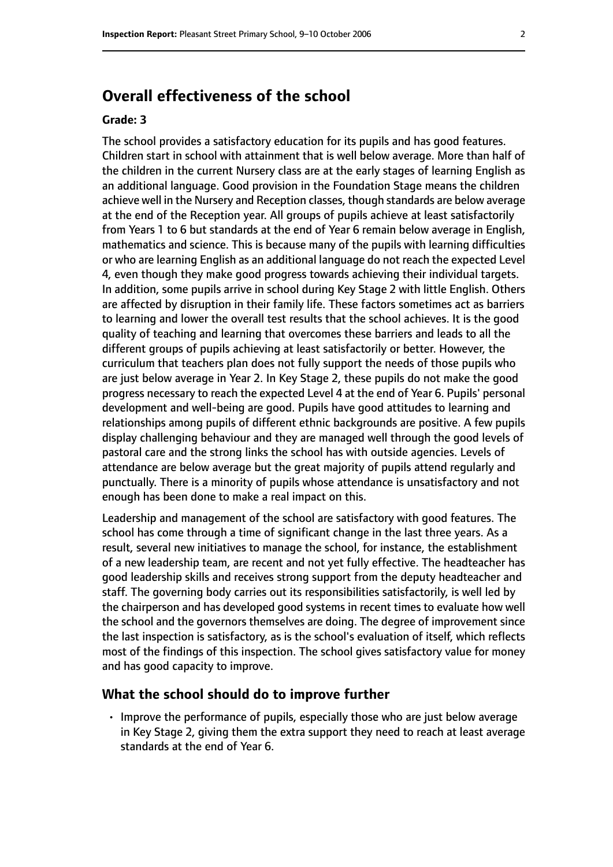## **Overall effectiveness of the school**

#### **Grade: 3**

The school provides a satisfactory education for its pupils and has good features. Children start in school with attainment that is well below average. More than half of the children in the current Nursery class are at the early stages of learning English as an additional language. Good provision in the Foundation Stage means the children achieve well in the Nursery and Reception classes, though standards are below average at the end of the Reception year. All groups of pupils achieve at least satisfactorily from Years 1 to 6 but standards at the end of Year 6 remain below average in English, mathematics and science. This is because many of the pupils with learning difficulties or who are learning English as an additional language do not reach the expected Level 4, even though they make good progress towards achieving their individual targets. In addition, some pupils arrive in school during Key Stage 2 with little English. Others are affected by disruption in their family life. These factors sometimes act as barriers to learning and lower the overall test results that the school achieves. It is the good quality of teaching and learning that overcomes these barriers and leads to all the different groups of pupils achieving at least satisfactorily or better. However, the curriculum that teachers plan does not fully support the needs of those pupils who are just below average in Year 2. In Key Stage 2, these pupils do not make the good progress necessary to reach the expected Level 4 at the end of Year 6. Pupils' personal development and well-being are good. Pupils have good attitudes to learning and relationships among pupils of different ethnic backgrounds are positive. A few pupils display challenging behaviour and they are managed well through the good levels of pastoral care and the strong links the school has with outside agencies. Levels of attendance are below average but the great majority of pupils attend regularly and punctually. There is a minority of pupils whose attendance is unsatisfactory and not enough has been done to make a real impact on this.

Leadership and management of the school are satisfactory with good features. The school has come through a time of significant change in the last three years. As a result, several new initiatives to manage the school, for instance, the establishment of a new leadership team, are recent and not yet fully effective. The headteacher has good leadership skills and receives strong support from the deputy headteacher and staff. The governing body carries out its responsibilities satisfactorily, is well led by the chairperson and has developed good systems in recent times to evaluate how well the school and the governors themselves are doing. The degree of improvement since the last inspection is satisfactory, as is the school's evaluation of itself, which reflects most of the findings of this inspection. The school gives satisfactory value for money and has good capacity to improve.

#### **What the school should do to improve further**

• Improve the performance of pupils, especially those who are just below average in Key Stage 2, giving them the extra support they need to reach at least average standards at the end of Year 6.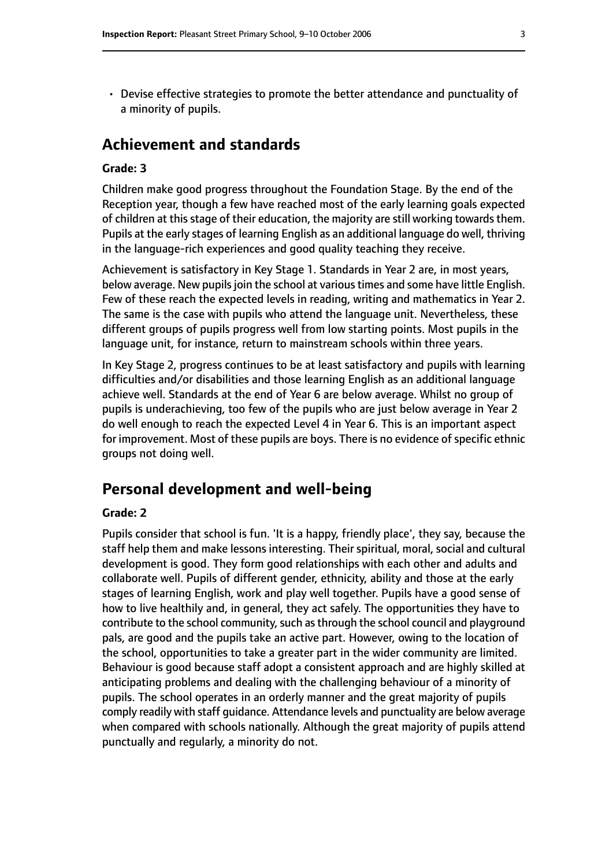- 
- Devise effective strategies to promote the better attendance and punctuality of a minority of pupils.

## **Achievement and standards**

#### **Grade: 3**

Children make good progress throughout the Foundation Stage. By the end of the Reception year, though a few have reached most of the early learning goals expected of children at this stage of their education, the majority are still working towards them. Pupils at the early stages of learning English as an additional language do well, thriving in the language-rich experiences and good quality teaching they receive.

Achievement is satisfactory in Key Stage 1. Standards in Year 2 are, in most years, below average. New pupils join the school at various times and some have little English. Few of these reach the expected levels in reading, writing and mathematics in Year 2. The same is the case with pupils who attend the language unit. Nevertheless, these different groups of pupils progress well from low starting points. Most pupils in the language unit, for instance, return to mainstream schools within three years.

In Key Stage 2, progress continues to be at least satisfactory and pupils with learning difficulties and/or disabilities and those learning English as an additional language achieve well. Standards at the end of Year 6 are below average. Whilst no group of pupils is underachieving, too few of the pupils who are just below average in Year 2 do well enough to reach the expected Level 4 in Year 6. This is an important aspect for improvement. Most of these pupils are boys. There is no evidence of specific ethnic groups not doing well.

#### **Personal development and well-being**

#### **Grade: 2**

Pupils consider that school is fun. 'It is a happy, friendly place', they say, because the staff help them and make lessons interesting. Their spiritual, moral, social and cultural development is good. They form good relationships with each other and adults and collaborate well. Pupils of different gender, ethnicity, ability and those at the early stages of learning English, work and play well together. Pupils have a good sense of how to live healthily and, in general, they act safely. The opportunities they have to contribute to the school community, such as through the school council and playground pals, are good and the pupils take an active part. However, owing to the location of the school, opportunities to take a greater part in the wider community are limited. Behaviour is good because staff adopt a consistent approach and are highly skilled at anticipating problems and dealing with the challenging behaviour of a minority of pupils. The school operates in an orderly manner and the great majority of pupils comply readily with staff guidance. Attendance levels and punctuality are below average when compared with schools nationally. Although the great majority of pupils attend punctually and regularly, a minority do not.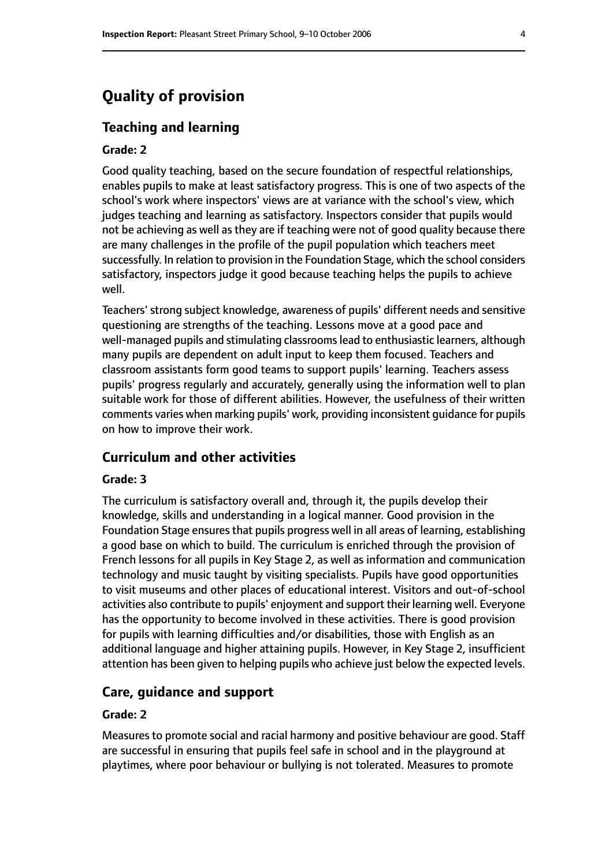## **Quality of provision**

#### **Teaching and learning**

#### **Grade: 2**

Good quality teaching, based on the secure foundation of respectful relationships, enables pupils to make at least satisfactory progress. This is one of two aspects of the school's work where inspectors' views are at variance with the school's view, which judges teaching and learning as satisfactory. Inspectors consider that pupils would not be achieving as well as they are if teaching were not of good quality because there are many challenges in the profile of the pupil population which teachers meet successfully. In relation to provision in the Foundation Stage, which the school considers satisfactory, inspectors judge it good because teaching helps the pupils to achieve well.

Teachers' strong subject knowledge, awareness of pupils' different needs and sensitive questioning are strengths of the teaching. Lessons move at a good pace and well-managed pupils and stimulating classrooms lead to enthusiastic learners, although many pupils are dependent on adult input to keep them focused. Teachers and classroom assistants form good teams to support pupils' learning. Teachers assess pupils' progress regularly and accurately, generally using the information well to plan suitable work for those of different abilities. However, the usefulness of their written comments varies when marking pupils' work, providing inconsistent guidance for pupils on how to improve their work.

#### **Curriculum and other activities**

#### **Grade: 3**

The curriculum is satisfactory overall and, through it, the pupils develop their knowledge, skills and understanding in a logical manner. Good provision in the Foundation Stage ensures that pupils progress well in all areas of learning, establishing a good base on which to build. The curriculum is enriched through the provision of French lessons for all pupils in Key Stage 2, as well as information and communication technology and music taught by visiting specialists. Pupils have good opportunities to visit museums and other places of educational interest. Visitors and out-of-school activities also contribute to pupils' enjoyment and support their learning well. Everyone has the opportunity to become involved in these activities. There is good provision for pupils with learning difficulties and/or disabilities, those with English as an additional language and higher attaining pupils. However, in Key Stage 2, insufficient attention has been given to helping pupils who achieve just below the expected levels.

#### **Care, guidance and support**

#### **Grade: 2**

Measures to promote social and racial harmony and positive behaviour are good. Staff are successful in ensuring that pupils feel safe in school and in the playground at playtimes, where poor behaviour or bullying is not tolerated. Measures to promote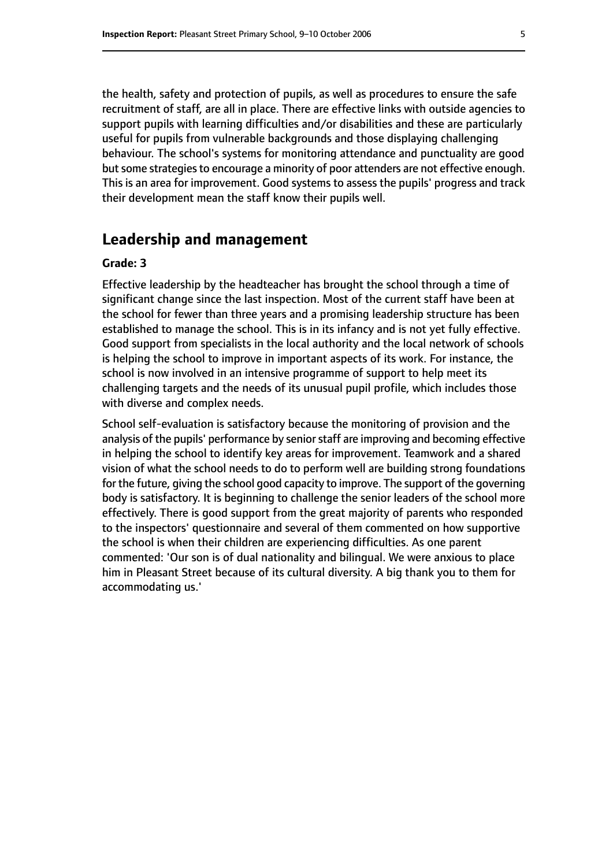the health, safety and protection of pupils, as well as procedures to ensure the safe recruitment of staff, are all in place. There are effective links with outside agencies to support pupils with learning difficulties and/or disabilities and these are particularly useful for pupils from vulnerable backgrounds and those displaying challenging behaviour. The school's systems for monitoring attendance and punctuality are good but some strategies to encourage a minority of poor attenders are not effective enough. This is an area for improvement. Good systems to assess the pupils' progress and track their development mean the staff know their pupils well.

#### **Leadership and management**

#### **Grade: 3**

Effective leadership by the headteacher has brought the school through a time of significant change since the last inspection. Most of the current staff have been at the school for fewer than three years and a promising leadership structure has been established to manage the school. This is in its infancy and is not yet fully effective. Good support from specialists in the local authority and the local network of schools is helping the school to improve in important aspects of its work. For instance, the school is now involved in an intensive programme of support to help meet its challenging targets and the needs of its unusual pupil profile, which includes those with diverse and complex needs.

School self-evaluation is satisfactory because the monitoring of provision and the analysis of the pupils' performance by senior staff are improving and becoming effective in helping the school to identify key areas for improvement. Teamwork and a shared vision of what the school needs to do to perform well are building strong foundations for the future, giving the school good capacity to improve. The support of the governing body is satisfactory. It is beginning to challenge the senior leaders of the school more effectively. There is good support from the great majority of parents who responded to the inspectors' questionnaire and several of them commented on how supportive the school is when their children are experiencing difficulties. As one parent commented: 'Our son is of dual nationality and bilingual. We were anxious to place him in Pleasant Street because of its cultural diversity. A big thank you to them for accommodating us.'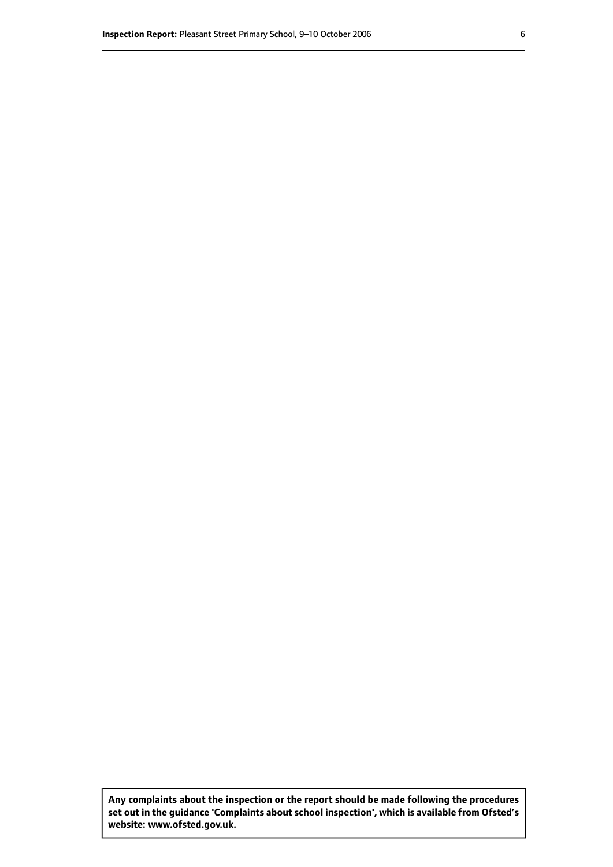**Any complaints about the inspection or the report should be made following the procedures set out inthe guidance 'Complaints about school inspection', whichis available from Ofsted's website: www.ofsted.gov.uk.**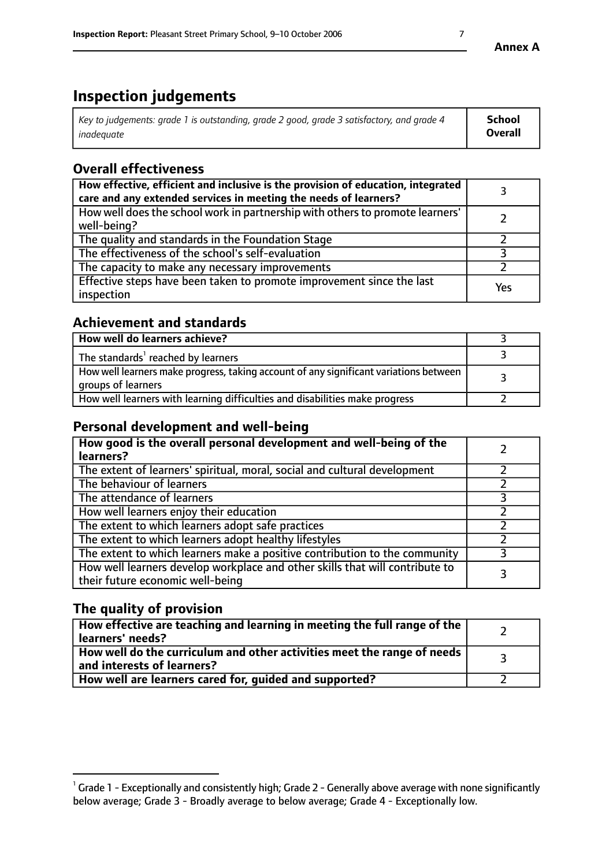## **Inspection judgements**

| Key to judgements: grade 1 is outstanding, grade 2 good, grade 3 satisfactory, and grade 4 | School         |
|--------------------------------------------------------------------------------------------|----------------|
| inadeauate                                                                                 | <b>Overall</b> |

## **Overall effectiveness**

| How effective, efficient and inclusive is the provision of education, integrated<br>care and any extended services in meeting the needs of learners? |     |
|------------------------------------------------------------------------------------------------------------------------------------------------------|-----|
| How well does the school work in partnership with others to promote learners'<br>well-being?                                                         |     |
| The quality and standards in the Foundation Stage                                                                                                    |     |
| The effectiveness of the school's self-evaluation                                                                                                    |     |
| The capacity to make any necessary improvements                                                                                                      |     |
| Effective steps have been taken to promote improvement since the last<br>inspection                                                                  | Yes |

#### **Achievement and standards**

| How well do learners achieve?                                                                               |  |
|-------------------------------------------------------------------------------------------------------------|--|
| The standards <sup>1</sup> reached by learners                                                              |  |
| How well learners make progress, taking account of any significant variations between<br>groups of learners |  |
| How well learners with learning difficulties and disabilities make progress                                 |  |

## **Personal development and well-being**

| How good is the overall personal development and well-being of the<br>learners?                                  |  |
|------------------------------------------------------------------------------------------------------------------|--|
| The extent of learners' spiritual, moral, social and cultural development                                        |  |
| The behaviour of learners                                                                                        |  |
| The attendance of learners                                                                                       |  |
| How well learners enjoy their education                                                                          |  |
| The extent to which learners adopt safe practices                                                                |  |
| The extent to which learners adopt healthy lifestyles                                                            |  |
| The extent to which learners make a positive contribution to the community                                       |  |
| How well learners develop workplace and other skills that will contribute to<br>their future economic well-being |  |

## **The quality of provision**

| How effective are teaching and learning in meeting the full range of the<br>learners' needs?          |  |
|-------------------------------------------------------------------------------------------------------|--|
| How well do the curriculum and other activities meet the range of needs<br>and interests of learners? |  |
| How well are learners cared for, guided and supported?                                                |  |

 $^1$  Grade 1 - Exceptionally and consistently high; Grade 2 - Generally above average with none significantly below average; Grade 3 - Broadly average to below average; Grade 4 - Exceptionally low.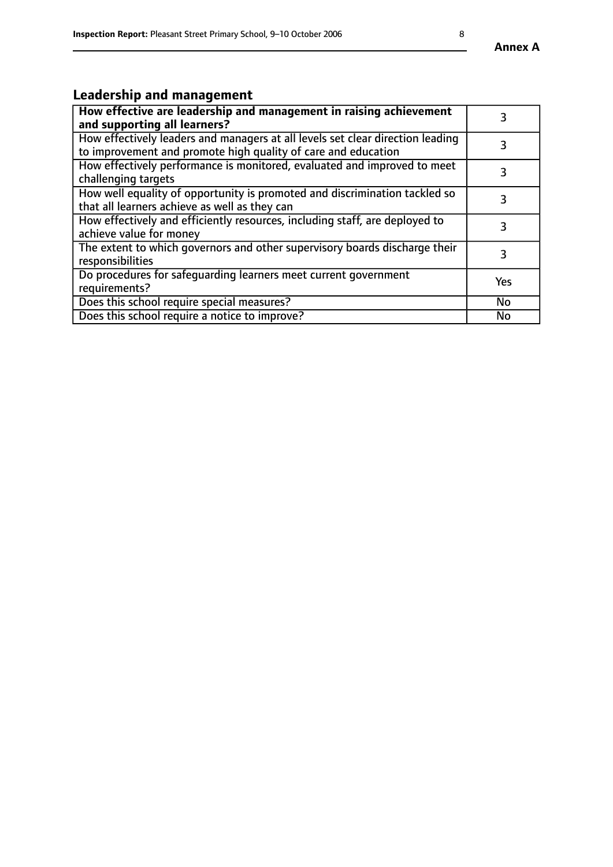## **Leadership and management**

| How effective are leadership and management in raising achievement<br>and supporting all learners?                                              |           |
|-------------------------------------------------------------------------------------------------------------------------------------------------|-----------|
| How effectively leaders and managers at all levels set clear direction leading<br>to improvement and promote high quality of care and education |           |
| How effectively performance is monitored, evaluated and improved to meet<br>challenging targets                                                 | 3         |
| How well equality of opportunity is promoted and discrimination tackled so<br>that all learners achieve as well as they can                     |           |
| How effectively and efficiently resources, including staff, are deployed to<br>achieve value for money                                          | 3         |
| The extent to which governors and other supervisory boards discharge their<br>responsibilities                                                  | 3         |
| Do procedures for safequarding learners meet current government<br>requirements?                                                                | Yes       |
| Does this school require special measures?                                                                                                      | No        |
| Does this school require a notice to improve?                                                                                                   | <b>No</b> |